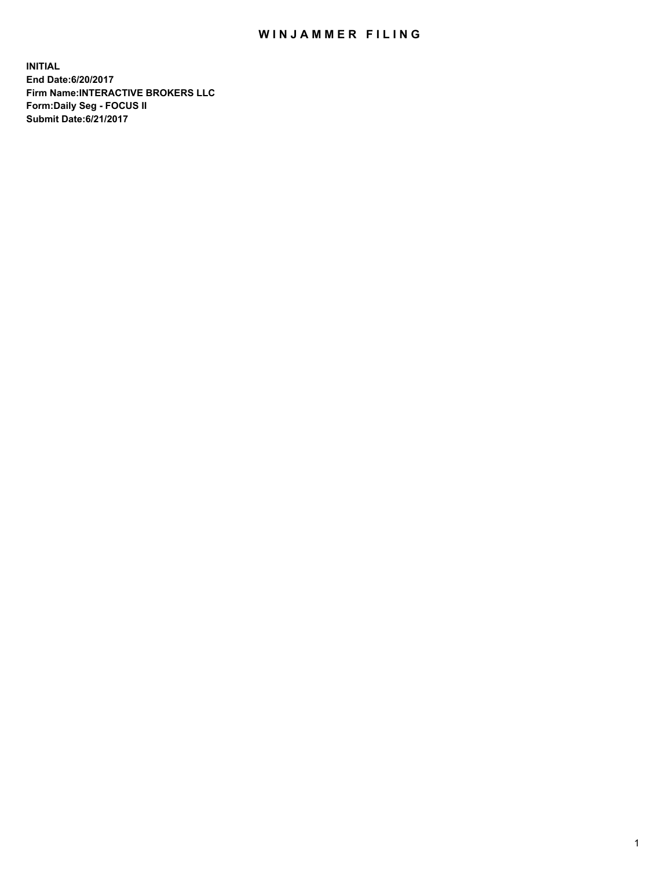## WIN JAMMER FILING

**INITIAL End Date:6/20/2017 Firm Name:INTERACTIVE BROKERS LLC Form:Daily Seg - FOCUS II Submit Date:6/21/2017**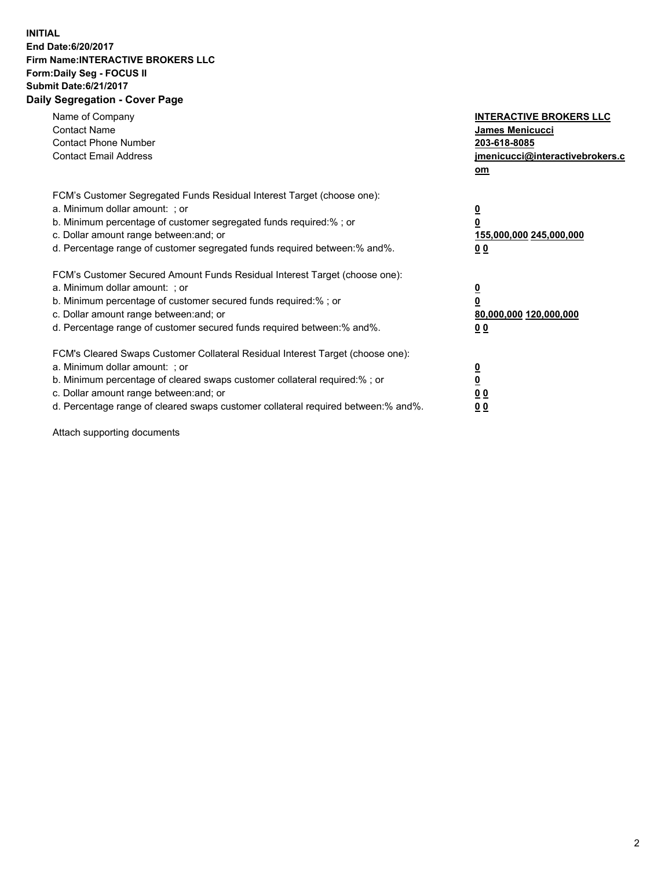## **INITIAL End Date:6/20/2017 Firm Name:INTERACTIVE BROKERS LLC Form:Daily Seg - FOCUS II Submit Date:6/21/2017 Daily Segregation - Cover Page**

| Name of Company<br><b>Contact Name</b><br><b>Contact Phone Number</b><br><b>Contact Email Address</b>                                                                                                                                                                                                                          | <b>INTERACTIVE BROKERS LLC</b><br>James Menicucci<br>203-618-8085<br>jmenicucci@interactivebrokers.c<br>om |
|--------------------------------------------------------------------------------------------------------------------------------------------------------------------------------------------------------------------------------------------------------------------------------------------------------------------------------|------------------------------------------------------------------------------------------------------------|
| FCM's Customer Segregated Funds Residual Interest Target (choose one):<br>a. Minimum dollar amount: ; or<br>b. Minimum percentage of customer segregated funds required:%; or<br>c. Dollar amount range between: and; or<br>d. Percentage range of customer segregated funds required between:% and%.                          | $\overline{\mathbf{0}}$<br>0<br>155,000,000 245,000,000<br>0 <sub>0</sub>                                  |
| FCM's Customer Secured Amount Funds Residual Interest Target (choose one):<br>a. Minimum dollar amount: ; or<br>b. Minimum percentage of customer secured funds required:%; or<br>c. Dollar amount range between: and; or<br>d. Percentage range of customer secured funds required between:% and%.                            | $\overline{\mathbf{0}}$<br>$\overline{\mathbf{0}}$<br>80,000,000 120,000,000<br>00                         |
| FCM's Cleared Swaps Customer Collateral Residual Interest Target (choose one):<br>a. Minimum dollar amount: ; or<br>b. Minimum percentage of cleared swaps customer collateral required:% ; or<br>c. Dollar amount range between: and; or<br>d. Percentage range of cleared swaps customer collateral required between:% and%. | $\overline{\mathbf{0}}$<br>$\overline{\mathbf{0}}$<br>0 <sub>0</sub><br><u>00</u>                          |

Attach supporting documents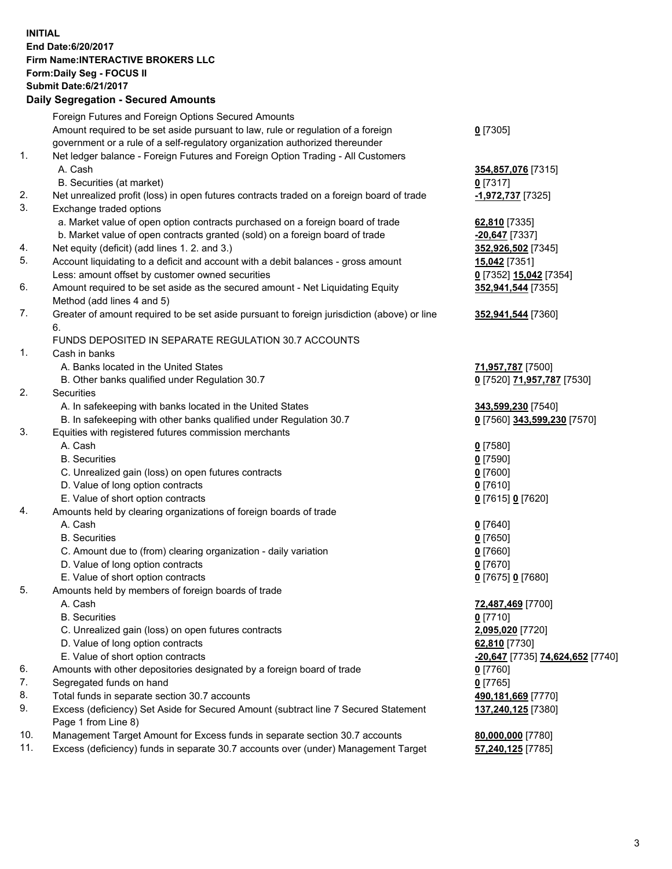## **INITIAL End Date:6/20/2017 Firm Name:INTERACTIVE BROKERS LLC Form:Daily Seg - FOCUS II Submit Date:6/21/2017**

|     | <b>Daily Segregation - Secured Amounts</b>                                                  |                                  |
|-----|---------------------------------------------------------------------------------------------|----------------------------------|
|     | Foreign Futures and Foreign Options Secured Amounts                                         |                                  |
|     | Amount required to be set aside pursuant to law, rule or regulation of a foreign            | $0$ [7305]                       |
|     | government or a rule of a self-regulatory organization authorized thereunder                |                                  |
| 1.  | Net ledger balance - Foreign Futures and Foreign Option Trading - All Customers             |                                  |
|     | A. Cash                                                                                     | 354,857,076 [7315]               |
|     | B. Securities (at market)                                                                   | $0$ [7317]                       |
| 2.  | Net unrealized profit (loss) in open futures contracts traded on a foreign board of trade   | <mark>-1,972,737</mark> [7325]   |
| 3.  | Exchange traded options                                                                     |                                  |
|     | a. Market value of open option contracts purchased on a foreign board of trade              | 62,810 [7335]                    |
|     | b. Market value of open contracts granted (sold) on a foreign board of trade                | -20,647 [7337]                   |
| 4.  | Net equity (deficit) (add lines 1.2. and 3.)                                                | 352,926,502 [7345]               |
| 5.  | Account liquidating to a deficit and account with a debit balances - gross amount           | <b>15,042</b> [7351]             |
|     | Less: amount offset by customer owned securities                                            | 0 [7352] 15,042 [7354]           |
| 6.  | Amount required to be set aside as the secured amount - Net Liquidating Equity              | 352,941,544 [7355]               |
|     | Method (add lines 4 and 5)                                                                  |                                  |
| 7.  | Greater of amount required to be set aside pursuant to foreign jurisdiction (above) or line | 352,941,544 [7360]               |
|     | 6.                                                                                          |                                  |
|     | FUNDS DEPOSITED IN SEPARATE REGULATION 30.7 ACCOUNTS                                        |                                  |
| 1.  | Cash in banks                                                                               |                                  |
|     | A. Banks located in the United States                                                       | 71,957,787 [7500]                |
|     | B. Other banks qualified under Regulation 30.7                                              | 0 [7520] 71,957,787 [7530]       |
| 2.  | Securities                                                                                  |                                  |
|     | A. In safekeeping with banks located in the United States                                   | 343,599,230 [7540]               |
|     | B. In safekeeping with other banks qualified under Regulation 30.7                          | 0 [7560] 343,599,230 [7570]      |
| 3.  | Equities with registered futures commission merchants                                       |                                  |
|     | A. Cash                                                                                     | $0$ [7580]                       |
|     | <b>B.</b> Securities                                                                        | <u>0</u> [7590]                  |
|     | C. Unrealized gain (loss) on open futures contracts                                         | 0 [7600]                         |
|     | D. Value of long option contracts                                                           | $0$ [7610]                       |
|     | E. Value of short option contracts                                                          | 0 [7615] 0 [7620]                |
| 4.  | Amounts held by clearing organizations of foreign boards of trade                           |                                  |
|     | A. Cash                                                                                     | $0$ [7640]                       |
|     | <b>B.</b> Securities                                                                        | $0$ [7650]                       |
|     | C. Amount due to (from) clearing organization - daily variation                             | $0$ [7660]                       |
|     | D. Value of long option contracts                                                           | $0$ [7670]                       |
|     | E. Value of short option contracts                                                          | 0 [7675] 0 [7680]                |
| 5.  | Amounts held by members of foreign boards of trade                                          |                                  |
|     | A. Cash                                                                                     | 72,487,469 [7700]                |
|     | <b>B.</b> Securities                                                                        | 0 [7710]                         |
|     | C. Unrealized gain (loss) on open futures contracts                                         | 2,095,020 [7720]                 |
|     | D. Value of long option contracts                                                           | 62,810 [7730]                    |
|     | E. Value of short option contracts                                                          | -20,647 [7735] 74,624,652 [7740] |
| 6.  | Amounts with other depositories designated by a foreign board of trade                      | 0 [7760]                         |
| 7.  | Segregated funds on hand                                                                    | $0$ [7765]                       |
| 8.  | Total funds in separate section 30.7 accounts                                               | 490,181,669 [7770]               |
| 9.  | Excess (deficiency) Set Aside for Secured Amount (subtract line 7 Secured Statement         | 137,240,125 [7380]               |
|     | Page 1 from Line 8)                                                                         |                                  |
| 10. | Management Target Amount for Excess funds in separate section 30.7 accounts                 | 80,000,000 [7780]                |
| 11. | Excess (deficiency) funds in separate 30.7 accounts over (under) Management Target          | 57,240,125 [7785]                |
|     |                                                                                             |                                  |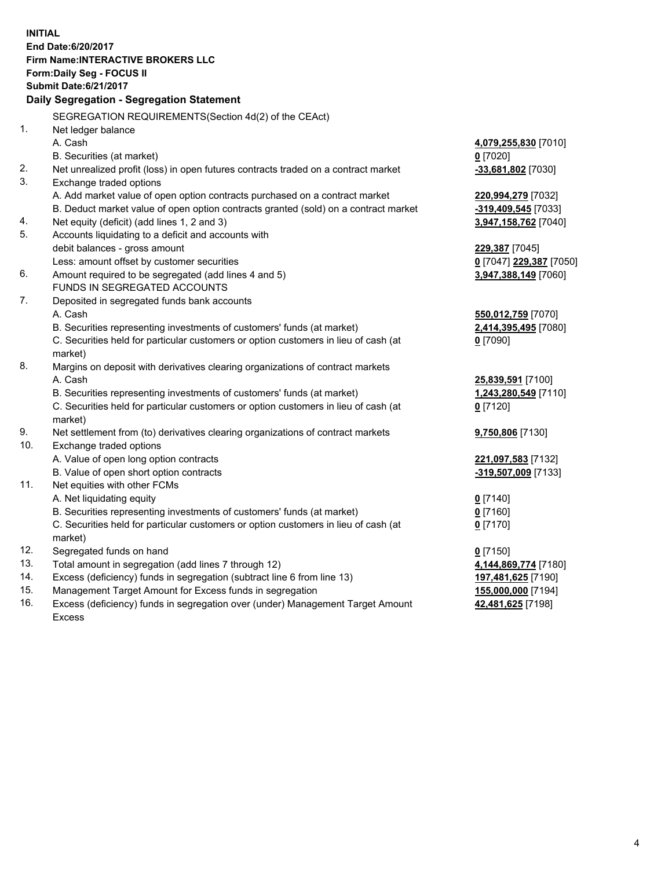**INITIAL End Date:6/20/2017 Firm Name:INTERACTIVE BROKERS LLC Form:Daily Seg - FOCUS II Submit Date:6/21/2017 Daily Segregation - Segregation Statement** SEGREGATION REQUIREMENTS(Section 4d(2) of the CEAct) 1. Net ledger balance A. Cash **4,079,255,830** [7010] B. Securities (at market) **0** [7020] 2. Net unrealized profit (loss) in open futures contracts traded on a contract market **-33,681,802** [7030] 3. Exchange traded options A. Add market value of open option contracts purchased on a contract market **220,994,279** [7032] B. Deduct market value of open option contracts granted (sold) on a contract market **-319,409,545** [7033] 4. Net equity (deficit) (add lines 1, 2 and 3) **3,947,158,762** [7040] 5. Accounts liquidating to a deficit and accounts with debit balances - gross amount **229,387** [7045] Less: amount offset by customer securities **0** [7047] **229,387** [7050] 6. Amount required to be segregated (add lines 4 and 5) **3,947,388,149** [7060] FUNDS IN SEGREGATED ACCOUNTS 7. Deposited in segregated funds bank accounts A. Cash **550,012,759** [7070] B. Securities representing investments of customers' funds (at market) **2,414,395,495** [7080] C. Securities held for particular customers or option customers in lieu of cash (at market) **0** [7090] 8. Margins on deposit with derivatives clearing organizations of contract markets A. Cash **25,839,591** [7100] B. Securities representing investments of customers' funds (at market) **1,243,280,549** [7110] C. Securities held for particular customers or option customers in lieu of cash (at market) **0** [7120] 9. Net settlement from (to) derivatives clearing organizations of contract markets **9,750,806** [7130] 10. Exchange traded options A. Value of open long option contracts **221,097,583** [7132] B. Value of open short option contracts **-319,507,009** [7133] 11. Net equities with other FCMs A. Net liquidating equity **0** [7140] B. Securities representing investments of customers' funds (at market) **0** [7160] C. Securities held for particular customers or option customers in lieu of cash (at market) **0** [7170] 12. Segregated funds on hand **0** [7150] 13. Total amount in segregation (add lines 7 through 12) **4,144,869,774** [7180] 14. Excess (deficiency) funds in segregation (subtract line 6 from line 13) **197,481,625** [7190] 15. Management Target Amount for Excess funds in segregation **155,000,000** [7194]

16. Excess (deficiency) funds in segregation over (under) Management Target Amount Excess

**42,481,625** [7198]